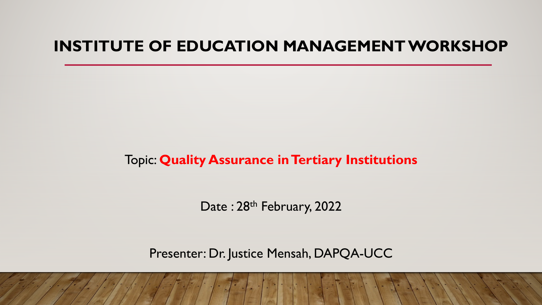#### **INSTITUTE OF EDUCATION MANAGEMENT WORKSHOP**

#### Topic: **Quality Assurance in Tertiary Institutions**

Date: 28<sup>th</sup> February, 2022

Presenter: Dr. Justice Mensah, DAPQA-UCC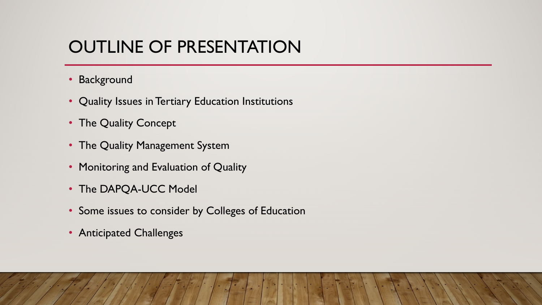## OUTLINE OF PRESENTATION

- Background
- Quality Issues in Tertiary Education Institutions
- The Quality Concept
- The Quality Management System
- Monitoring and Evaluation of Quality
- The DAPQA-UCC Model
- Some issues to consider by Colleges of Education
- Anticipated Challenges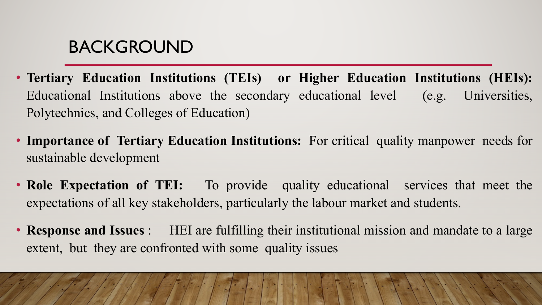#### BACKGROUND

- **Tertiary Education Institutions (TEIs) or Higher Education Institutions (HEIs):** Educational Institutions above the secondary educational level (e.g. Universities, Polytechnics, and Colleges of Education)
- **Importance of Tertiary Education Institutions:** For critical quality manpower needs for sustainable development
- **Role Expectation of TEI:** To provide quality educational services that meet the expectations of all key stakeholders, particularly the labour market and students.
- **Response and Issues** : HEI are fulfilling their institutional mission and mandate to a large extent, but they are confronted with some quality issues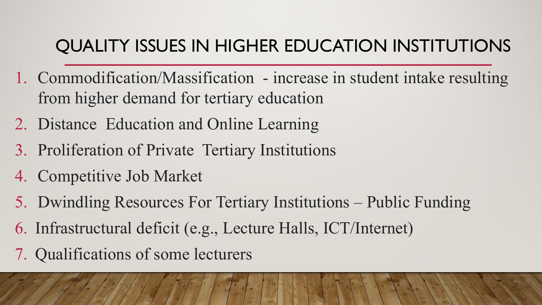# QUALITY ISSUES IN HIGHER EDUCATION INSTITUTIONS

- 1. Commodification/Massification increase in student intake resulting from higher demand for tertiary education
- 2. Distance Education and Online Learning
- 3. Proliferation of Private Tertiary Institutions
- 4. Competitive Job Market
- 5. Dwindling Resources For Tertiary Institutions Public Funding
- 6. Infrastructural deficit (e.g., Lecture Halls, ICT/Internet)
- 7. Qualifications of some lecturers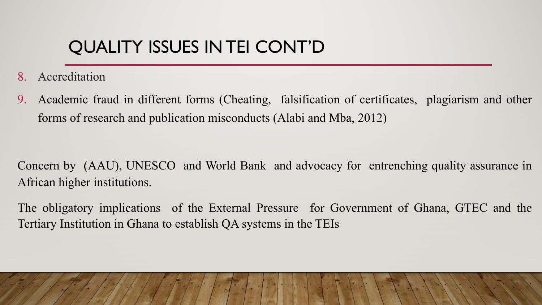# QUALITY ISSUES IN TEI CONT'D

- 8. Accreditation
- Academic fraud in different forms (Cheating, falsification of certificates, plagiarism and other forms of research and publication misconducts (Alabi and Mba, 2012)

Concern by (AAU), UNESCO and World Bank and advocacy for entrenching quality assurance in African higher institutions.

The obligatory implications of the External Pressure for Government of Ghana, GTEC and the Tertiary Institution in Ghana to establish QA systems in the TEIs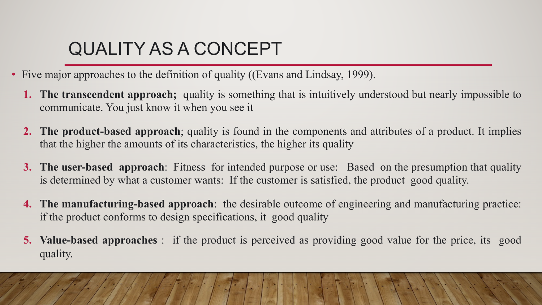# QUALITY AS A CONCEPT

- Five major approaches to the definition of quality ((Evans and Lindsay, 1999).
	- **1. The transcendent approach;** quality is something that is intuitively understood but nearly impossible to communicate. You just know it when you see it
	- **2. The product-based approach**; quality is found in the components and attributes of a product. It implies that the higher the amounts of its characteristics, the higher its quality
	- **3. The user-based approach**: Fitness for intended purpose or use: Based on the presumption that quality is determined by what a customer wants: If the customer is satisfied, the product good quality.
	- **4. The manufacturing-based approach**: the desirable outcome of engineering and manufacturing practice: if the product conforms to design specifications, it good quality
	- **5. Value-based approaches** : if the product is perceived as providing good value for the price, its good quality.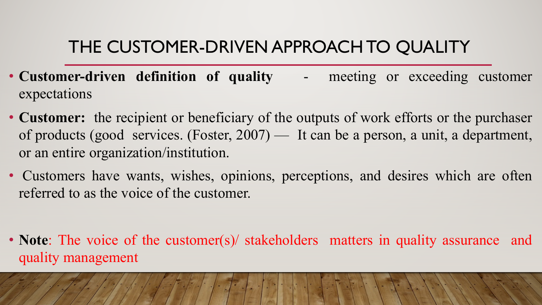## THE CUSTOMER-DRIVEN APPROACH TO QUALITY

- **Customer-driven definition of quality** meeting or exceeding customer expectations
- **Customer:** the recipient or beneficiary of the outputs of work efforts or the purchaser of products (good services. (Foster, 2007) — It can be a person, a unit, a department, or an entire organization/institution.
- Customers have wants, wishes, opinions, perceptions, and desires which are often referred to as the voice of the customer.
- **Note**: The voice of the customer(s)/ stakeholders matters in quality assurance and quality management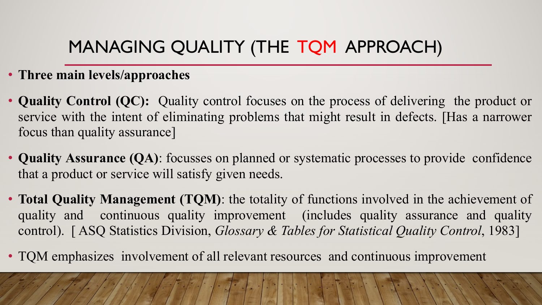## MANAGING QUALITY (THE TQM APPROACH)

#### • **Three main levels/approaches**

- **Quality Control (QC):** Quality control focuses on the process of delivering the product or service with the intent of eliminating problems that might result in defects. [Has a narrower focus than quality assurance]
- **Quality Assurance (QA)**: focusses on planned or systematic processes to provide confidence that a product or service will satisfy given needs.
- **Total Quality Management (TQM)**: the totality of functions involved in the achievement of quality and continuous quality improvement (includes quality assurance and quality control). [ ASQ Statistics Division, *Glossary & Tables for Statistical Quality Control*, 1983]
- TQM emphasizes involvement of all relevant resources and continuous improvement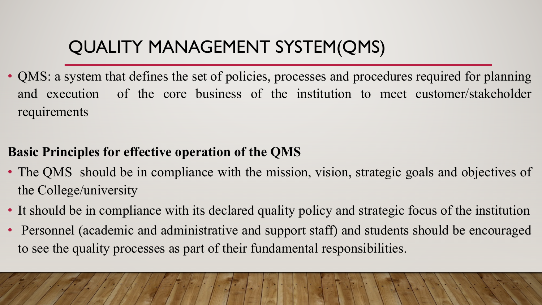# QUALITY MANAGEMENT SYSTEM(QMS)

• QMS: a system that defines the set of policies, processes and procedures required for planning and execution of the core business of the institution to meet customer/stakeholder requirements

#### **Basic Principles for effective operation of the QMS**

- The QMS should be in compliance with the mission, vision, strategic goals and objectives of the College/university
- It should be in compliance with its declared quality policy and strategic focus of the institution
- Personnel (academic and administrative and support staff) and students should be encouraged to see the quality processes as part of their fundamental responsibilities.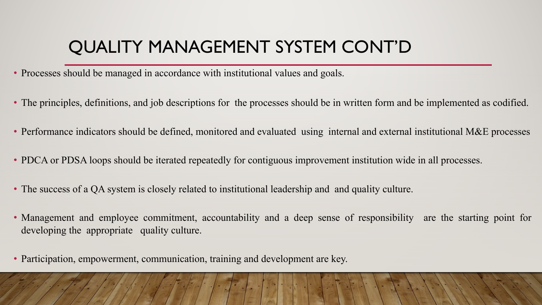## QUALITY MANAGEMENT SYSTEM CONT'D

- Processes should be managed in accordance with institutional values and goals.
- The principles, definitions, and job descriptions for the processes should be in written form and be implemented as codified.
- Performance indicators should be defined, monitored and evaluated using internal and external institutional M&E processes
- PDCA or PDSA loops should be iterated repeatedly for contiguous improvement institution wide in all processes.
- The success of a QA system is closely related to institutional leadership and and quality culture.
- Management and employee commitment, accountability and a deep sense of responsibility are the starting point for developing the appropriate quality culture.
- Participation, empowerment, communication, training and development are key.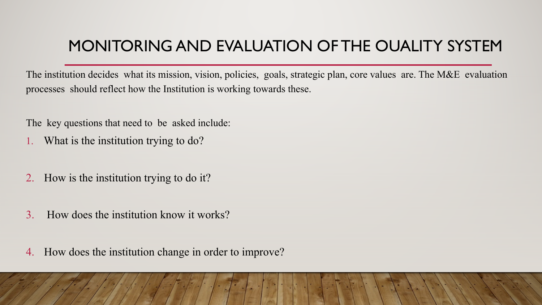#### MONITORING AND EVALUATION OF THE OUALITY SYSTEM

The institution decides what its mission, vision, policies, goals, strategic plan, core values are. The M&E evaluation processes should reflect how the Institution is working towards these.

The key questions that need to be asked include:

- 1. What is the institution trying to do?
- 2. How is the institution trying to do it?
- 3. How does the institution know it works?
- 4. How does the institution change in order to improve?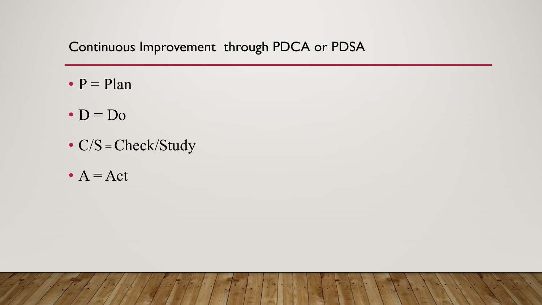#### Continuous Improvement through PDCA or PDSA

- $\bullet$  P = Plan
- $\cdot$  D = D<sub>0</sub>
- C/S = Check/Study
- $A = Act$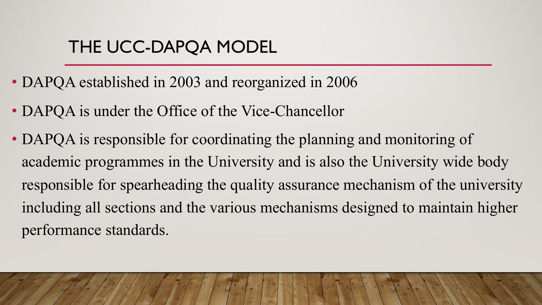#### THE UCC-DAPQA MODEL

- DAPQA established in 2003 and reorganized in 2006
- DAPQA is under the Office of the Vice-Chancellor
- DAPQA is responsible for coordinating the planning and monitoring of academic programmes in the University and is also the University wide body responsible for spearheading the quality assurance mechanism of the university including all sections and the various mechanisms designed to maintain higher performance standards.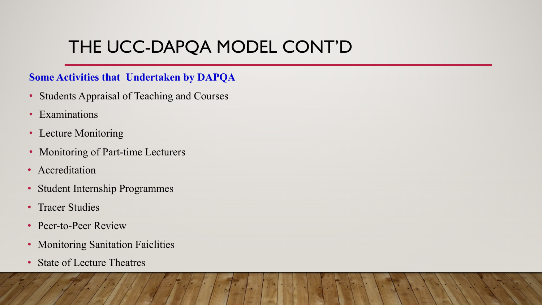## THE UCC-DAPQA MODEL CONT'D

#### **Some Activities that Undertaken by DAPQA**

- Students Appraisal of Teaching and Courses
- Examinations
- Lecture Monitoring
- Monitoring of Part-time Lecturers
- Accreditation
- Student Internship Programmes
- Tracer Studies
- Peer-to-Peer Review
- Monitoring Sanitation Faiclities
- State of Lecture Theatres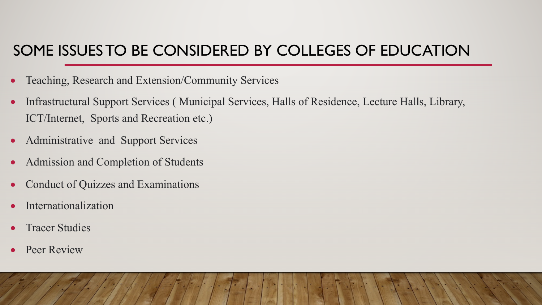#### SOME ISSUES TO BE CONSIDERED BY COLLEGES OF EDUCATION

- Teaching, Research and Extension/Community Services
- Infrastructural Support Services ( Municipal Services, Halls of Residence, Lecture Halls, Library, ICT/Internet, Sports and Recreation etc.)
- Administrative and Support Services
- Admission and Completion of Students
- Conduct of Quizzes and Examinations
- Internationalization
- **Tracer Studies**
- Peer Review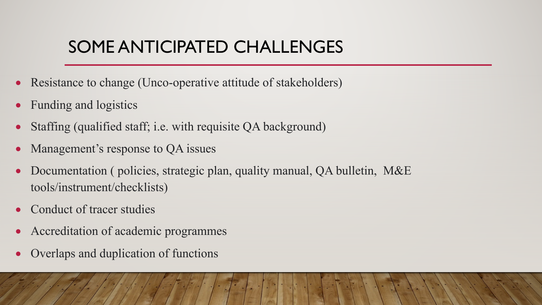### SOME ANTICIPATED CHALLENGES

- Resistance to change (Unco-operative attitude of stakeholders)
- Funding and logistics
- Staffing (qualified staff; i.e. with requisite QA background)
- Management's response to QA issues
- Documentation ( policies, strategic plan, quality manual, QA bulletin, M&E tools/instrument/checklists)
- Conduct of tracer studies
- Accreditation of academic programmes
- Overlaps and duplication of functions